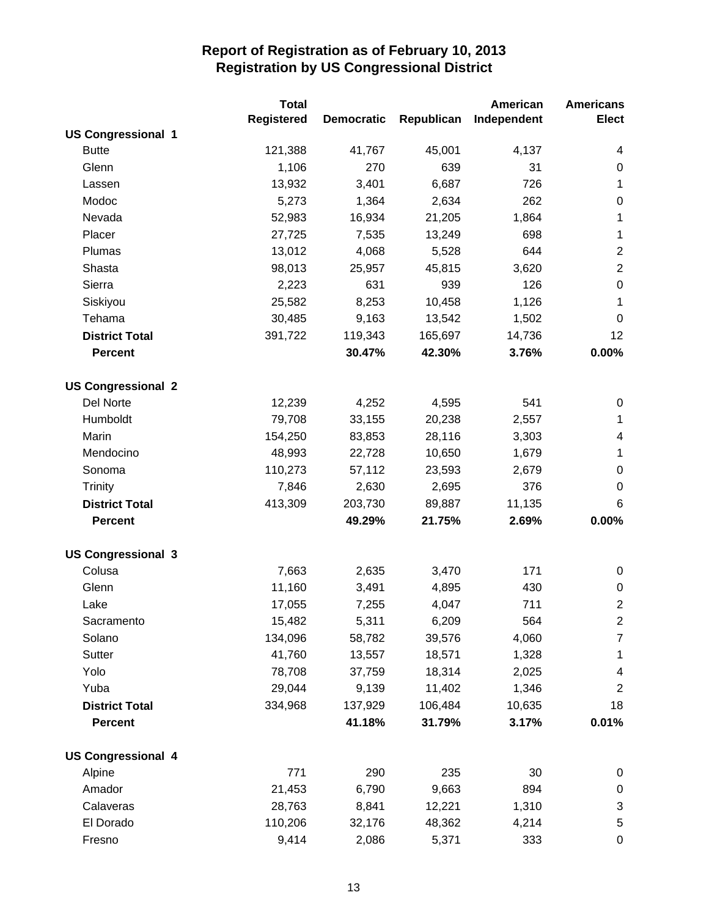|                           | <b>Total</b>      |                   |            | American    | <b>Americans</b>        |
|---------------------------|-------------------|-------------------|------------|-------------|-------------------------|
|                           | <b>Registered</b> | <b>Democratic</b> | Republican | Independent | <b>Elect</b>            |
| <b>US Congressional 1</b> |                   |                   |            |             |                         |
| <b>Butte</b>              | 121,388           | 41,767            | 45,001     | 4,137       | 4                       |
| Glenn                     | 1,106             | 270               | 639        | 31          | $\pmb{0}$               |
| Lassen                    | 13,932            | 3,401             | 6,687      | 726         | 1                       |
| Modoc                     | 5,273             | 1,364             | 2,634      | 262         | $\boldsymbol{0}$        |
| Nevada                    | 52,983            | 16,934            | 21,205     | 1,864       | 1                       |
| Placer                    | 27,725            | 7,535             | 13,249     | 698         | 1                       |
| Plumas                    | 13,012            | 4,068             | 5,528      | 644         | $\boldsymbol{2}$        |
| Shasta                    | 98,013            | 25,957            | 45,815     | 3,620       | $\overline{2}$          |
| Sierra                    | 2,223             | 631               | 939        | 126         | $\boldsymbol{0}$        |
| Siskiyou                  | 25,582            | 8,253             | 10,458     | 1,126       | 1                       |
| Tehama                    | 30,485            | 9,163             | 13,542     | 1,502       | 0                       |
| <b>District Total</b>     | 391,722           | 119,343           | 165,697    | 14,736      | 12                      |
| <b>Percent</b>            |                   | 30.47%            | 42.30%     | 3.76%       | 0.00%                   |
| <b>US Congressional 2</b> |                   |                   |            |             |                         |
| Del Norte                 | 12,239            | 4,252             | 4,595      | 541         | $\pmb{0}$               |
| Humboldt                  | 79,708            | 33,155            | 20,238     | 2,557       | $\mathbf{1}$            |
| Marin                     | 154,250           | 83,853            | 28,116     | 3,303       | 4                       |
| Mendocino                 | 48,993            | 22,728            | 10,650     | 1,679       | $\mathbf 1$             |
| Sonoma                    | 110,273           | 57,112            | 23,593     | 2,679       | $\pmb{0}$               |
| <b>Trinity</b>            | 7,846             | 2,630             | 2,695      | 376         | $\pmb{0}$               |
| <b>District Total</b>     | 413,309           | 203,730           | 89,887     | 11,135      | $\,6$                   |
| <b>Percent</b>            |                   | 49.29%            | 21.75%     | 2.69%       | 0.00%                   |
| <b>US Congressional 3</b> |                   |                   |            |             |                         |
| Colusa                    | 7,663             | 2,635             | 3,470      | 171         | $\pmb{0}$               |
| Glenn                     | 11,160            | 3,491             | 4,895      | 430         | 0                       |
| Lake                      | 17,055            | 7,255             | 4,047      | 711         | $\overline{2}$          |
| Sacramento                | 15,482            | 5,311             | 6,209      | 564         | $\mathbf{2}$            |
| Solano                    | 134,096           | 58,782            | 39,576     | 4,060       | $\overline{7}$          |
| Sutter                    | 41,760            | 13,557            | 18,571     | 1,328       | $\mathbf 1$             |
| Yolo                      | 78,708            | 37,759            | 18,314     | 2,025       | $\overline{\mathbf{4}}$ |
| Yuba                      | 29,044            | 9,139             | 11,402     | 1,346       | $\overline{2}$          |
| <b>District Total</b>     | 334,968           | 137,929           | 106,484    | 10,635      | 18                      |
| <b>Percent</b>            |                   | 41.18%            | 31.79%     | 3.17%       | 0.01%                   |
| <b>US Congressional 4</b> |                   |                   |            |             |                         |
| Alpine                    | 771               | 290               | 235        | 30          | $\pmb{0}$               |
| Amador                    | 21,453            | 6,790             | 9,663      | 894         | $\pmb{0}$               |
| Calaveras                 | 28,763            | 8,841             | 12,221     | 1,310       | 3                       |
| El Dorado                 | 110,206           | 32,176            | 48,362     | 4,214       | $\mathbf 5$             |
| Fresno                    | 9,414             | 2,086             | 5,371      | 333         | $\pmb{0}$               |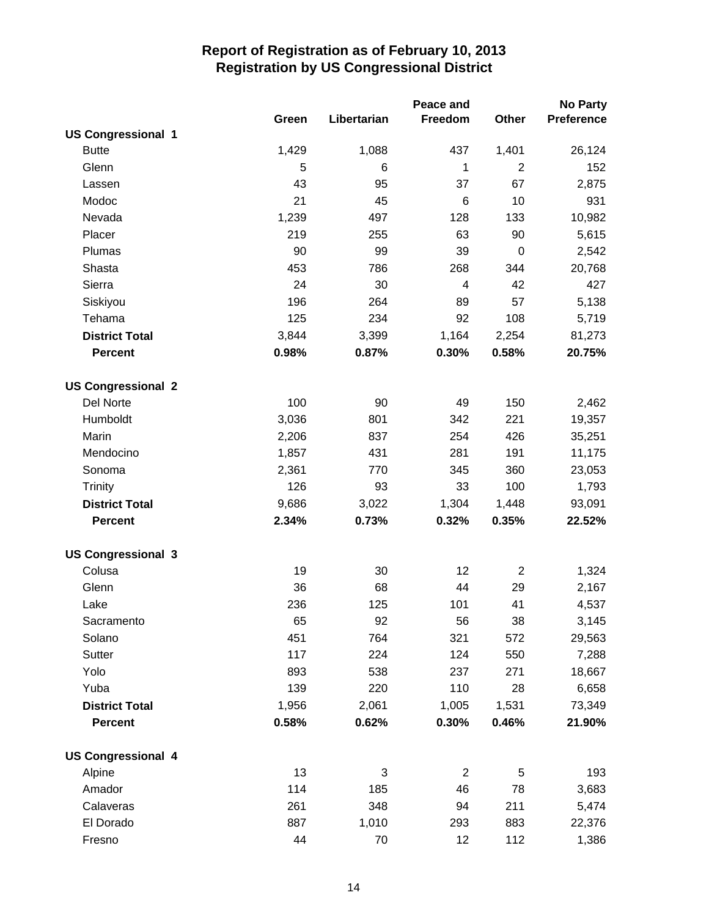|                           |       |             | Peace and       |                | <b>No Party</b>   |
|---------------------------|-------|-------------|-----------------|----------------|-------------------|
|                           | Green | Libertarian | Freedom         | Other          | <b>Preference</b> |
| <b>US Congressional 1</b> |       |             |                 |                |                   |
| <b>Butte</b>              | 1,429 | 1,088       | 437             | 1,401          | 26,124            |
| Glenn                     | 5     | 6           | $\mathbf{1}$    | $\overline{2}$ | 152               |
| Lassen                    | 43    | 95          | 37              | 67             | 2,875             |
| Modoc                     | 21    | 45          | $6\phantom{1}6$ | 10             | 931               |
| Nevada                    | 1,239 | 497         | 128             | 133            | 10,982            |
| Placer                    | 219   | 255         | 63              | 90             | 5,615             |
| Plumas                    | 90    | 99          | 39              | $\pmb{0}$      | 2,542             |
| Shasta                    | 453   | 786         | 268             | 344            | 20,768            |
| Sierra                    | 24    | 30          | 4               | 42             | 427               |
| Siskiyou                  | 196   | 264         | 89              | 57             | 5,138             |
| Tehama                    | 125   | 234         | 92              | 108            | 5,719             |
| <b>District Total</b>     | 3,844 | 3,399       | 1,164           | 2,254          | 81,273            |
| <b>Percent</b>            | 0.98% | 0.87%       | 0.30%           | 0.58%          | 20.75%            |
| <b>US Congressional 2</b> |       |             |                 |                |                   |
| Del Norte                 | 100   | 90          | 49              | 150            | 2,462             |
| Humboldt                  | 3,036 | 801         | 342             | 221            | 19,357            |
| Marin                     | 2,206 | 837         | 254             | 426            | 35,251            |
| Mendocino                 | 1,857 | 431         | 281             | 191            | 11,175            |
| Sonoma                    | 2,361 | 770         | 345             | 360            | 23,053            |
| <b>Trinity</b>            | 126   | 93          | 33              | 100            | 1,793             |
| <b>District Total</b>     | 9,686 | 3,022       | 1,304           | 1,448          | 93,091            |
| <b>Percent</b>            | 2.34% | 0.73%       | 0.32%           | 0.35%          | 22.52%            |
| <b>US Congressional 3</b> |       |             |                 |                |                   |
| Colusa                    | 19    | 30          | 12              | $\overline{2}$ | 1,324             |
| Glenn                     | 36    | 68          | 44              | 29             | 2,167             |
| Lake                      | 236   | 125         | 101             | 41             | 4,537             |
| Sacramento                | 65    | 92          | 56              | 38             | 3,145             |
| Solano                    | 451   | 764         | 321             | 572            | 29,563            |
| Sutter                    | 117   | 224         | 124             | 550            | 7,288             |
| Yolo                      | 893   | 538         | 237             | 271            | 18,667            |
| Yuba                      | 139   | 220         | 110             | 28             | 6,658             |
| <b>District Total</b>     | 1,956 | 2,061       | 1,005           | 1,531          | 73,349            |
| <b>Percent</b>            | 0.58% | 0.62%       | 0.30%           | 0.46%          | 21.90%            |
| <b>US Congressional 4</b> |       |             |                 |                |                   |
| Alpine                    | 13    | 3           | $\overline{2}$  | 5              | 193               |
| Amador                    | 114   | 185         | 46              | 78             | 3,683             |
| Calaveras                 | 261   | 348         | 94              | 211            | 5,474             |
| El Dorado                 | 887   | 1,010       | 293             | 883            | 22,376            |
| Fresno                    | 44    | 70          | 12              | 112            | 1,386             |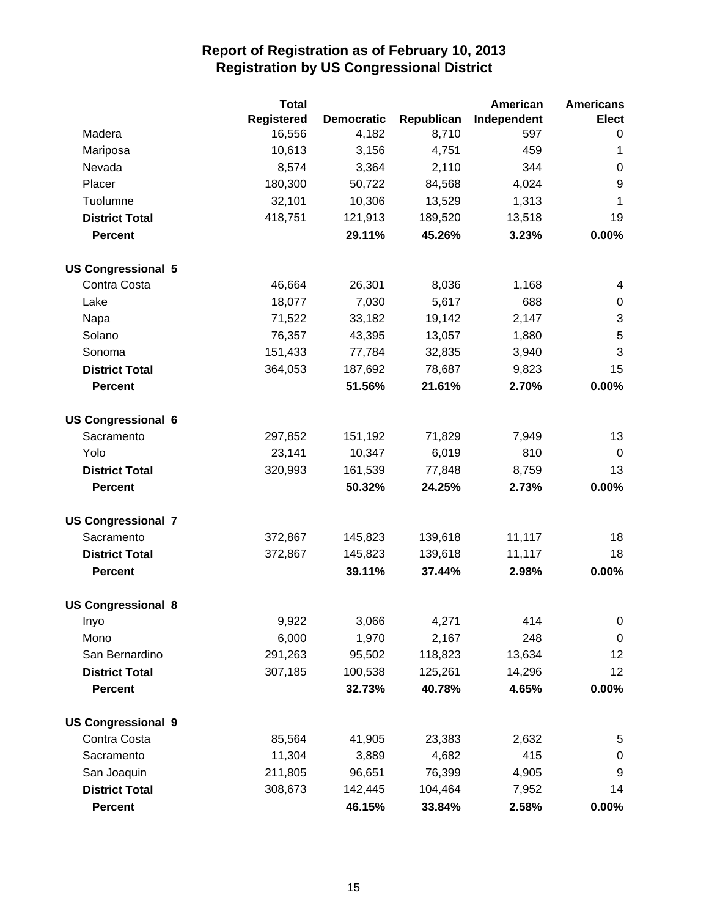|                           | <b>Total</b>      |                   |            | American    | <b>Americans</b> |
|---------------------------|-------------------|-------------------|------------|-------------|------------------|
|                           | <b>Registered</b> | <b>Democratic</b> | Republican | Independent | <b>Elect</b>     |
| Madera                    | 16,556            | 4,182             | 8,710      | 597         | 0                |
| Mariposa                  | 10,613            | 3,156             | 4,751      | 459         | 1                |
| Nevada                    | 8,574             | 3,364             | 2,110      | 344         | $\pmb{0}$        |
| Placer                    | 180,300           | 50,722            | 84,568     | 4,024       | 9                |
| Tuolumne                  | 32,101            | 10,306            | 13,529     | 1,313       | 1                |
| <b>District Total</b>     | 418,751           | 121,913           | 189,520    | 13,518      | 19               |
| <b>Percent</b>            |                   | 29.11%            | 45.26%     | 3.23%       | 0.00%            |
| <b>US Congressional 5</b> |                   |                   |            |             |                  |
| Contra Costa              | 46,664            | 26,301            | 8,036      | 1,168       | 4                |
| Lake                      | 18,077            | 7,030             | 5,617      | 688         | 0                |
| Napa                      | 71,522            | 33,182            | 19,142     | 2,147       | 3                |
| Solano                    | 76,357            | 43,395            | 13,057     | 1,880       | 5                |
| Sonoma                    | 151,433           | 77,784            | 32,835     | 3,940       | 3                |
| <b>District Total</b>     | 364,053           | 187,692           | 78,687     | 9,823       | 15               |
| <b>Percent</b>            |                   | 51.56%            | 21.61%     | 2.70%       | 0.00%            |
| <b>US Congressional 6</b> |                   |                   |            |             |                  |
| Sacramento                | 297,852           | 151,192           | 71,829     | 7,949       | 13               |
| Yolo                      | 23,141            | 10,347            | 6,019      | 810         | 0                |
| <b>District Total</b>     | 320,993           | 161,539           | 77,848     | 8,759       | 13               |
| <b>Percent</b>            |                   | 50.32%            | 24.25%     | 2.73%       | 0.00%            |
| <b>US Congressional 7</b> |                   |                   |            |             |                  |
| Sacramento                | 372,867           | 145,823           | 139,618    | 11,117      | 18               |
| <b>District Total</b>     | 372,867           | 145,823           | 139,618    | 11,117      | 18               |
| <b>Percent</b>            |                   | 39.11%            | 37.44%     | 2.98%       | 0.00%            |
| <b>US Congressional 8</b> |                   |                   |            |             |                  |
| Inyo                      | 9,922             | 3,066             | 4,271      | 414         | 0                |
| Mono                      | 6,000             | 1,970             | 2,167      | 248         | $\mathbf 0$      |
| San Bernardino            | 291,263           | 95,502            | 118,823    | 13,634      | 12               |
| <b>District Total</b>     | 307,185           | 100,538           | 125,261    | 14,296      | 12               |
| <b>Percent</b>            |                   | 32.73%            | 40.78%     | 4.65%       | 0.00%            |
| <b>US Congressional 9</b> |                   |                   |            |             |                  |
| Contra Costa              | 85,564            | 41,905            | 23,383     | 2,632       | 5                |
| Sacramento                | 11,304            | 3,889             | 4,682      | 415         | 0                |
| San Joaquin               | 211,805           | 96,651            | 76,399     | 4,905       | 9                |
| <b>District Total</b>     | 308,673           | 142,445           | 104,464    | 7,952       | 14               |
| <b>Percent</b>            |                   | 46.15%            | 33.84%     | 2.58%       | $0.00\%$         |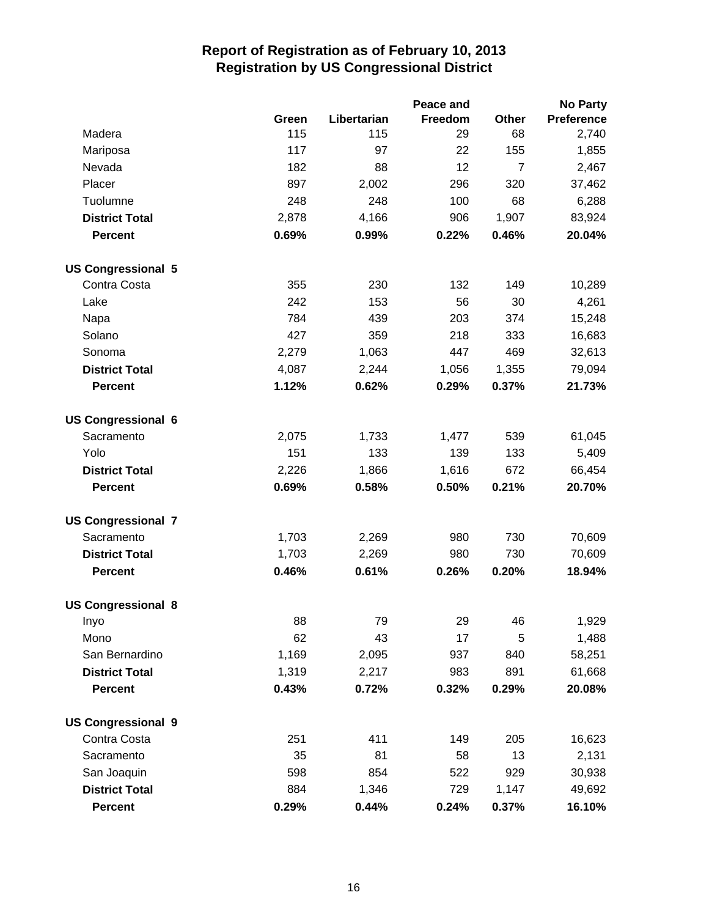|                           |       |             | Peace and |                | <b>No Party</b>   |
|---------------------------|-------|-------------|-----------|----------------|-------------------|
|                           | Green | Libertarian | Freedom   | Other          | <b>Preference</b> |
| Madera                    | 115   | 115         | 29        | 68             | 2,740             |
| Mariposa                  | 117   | 97          | 22        | 155            | 1,855             |
| Nevada                    | 182   | 88          | 12        | $\overline{7}$ | 2,467             |
| Placer                    | 897   | 2,002       | 296       | 320            | 37,462            |
| Tuolumne                  | 248   | 248         | 100       | 68             | 6,288             |
| <b>District Total</b>     | 2,878 | 4,166       | 906       | 1,907          | 83,924            |
| <b>Percent</b>            | 0.69% | 0.99%       | 0.22%     | 0.46%          | 20.04%            |
| <b>US Congressional 5</b> |       |             |           |                |                   |
| Contra Costa              | 355   | 230         | 132       | 149            | 10,289            |
| Lake                      | 242   | 153         | 56        | 30             | 4,261             |
| Napa                      | 784   | 439         | 203       | 374            | 15,248            |
| Solano                    | 427   | 359         | 218       | 333            | 16,683            |
| Sonoma                    | 2,279 | 1,063       | 447       | 469            | 32,613            |
| <b>District Total</b>     | 4,087 | 2,244       | 1,056     | 1,355          | 79,094            |
| <b>Percent</b>            | 1.12% | 0.62%       | 0.29%     | 0.37%          | 21.73%            |
| <b>US Congressional 6</b> |       |             |           |                |                   |
| Sacramento                | 2,075 | 1,733       | 1,477     | 539            | 61,045            |
| Yolo                      | 151   | 133         | 139       | 133            | 5,409             |
| <b>District Total</b>     | 2,226 | 1,866       | 1,616     | 672            | 66,454            |
| <b>Percent</b>            | 0.69% | 0.58%       | 0.50%     | 0.21%          | 20.70%            |
| <b>US Congressional 7</b> |       |             |           |                |                   |
| Sacramento                | 1,703 | 2,269       | 980       | 730            | 70,609            |
| <b>District Total</b>     | 1,703 | 2,269       | 980       | 730            | 70,609            |
| <b>Percent</b>            | 0.46% | 0.61%       | 0.26%     | 0.20%          | 18.94%            |
| <b>US Congressional 8</b> |       |             |           |                |                   |
| Inyo                      | 88    | 79          | 29        | 46             | 1,929             |
| Mono                      | 62    | 43          | 17        | 5              | 1,488             |
| San Bernardino            | 1,169 | 2,095       | 937       | 840            | 58,251            |
| <b>District Total</b>     | 1,319 | 2,217       | 983       | 891            | 61,668            |
| <b>Percent</b>            | 0.43% | 0.72%       | 0.32%     | 0.29%          | 20.08%            |
| <b>US Congressional 9</b> |       |             |           |                |                   |
| Contra Costa              | 251   | 411         | 149       | 205            | 16,623            |
| Sacramento                | 35    | 81          | 58        | 13             | 2,131             |
| San Joaquin               | 598   | 854         | 522       | 929            | 30,938            |
| <b>District Total</b>     | 884   | 1,346       | 729       | 1,147          | 49,692            |
| <b>Percent</b>            | 0.29% | 0.44%       | 0.24%     | 0.37%          | 16.10%            |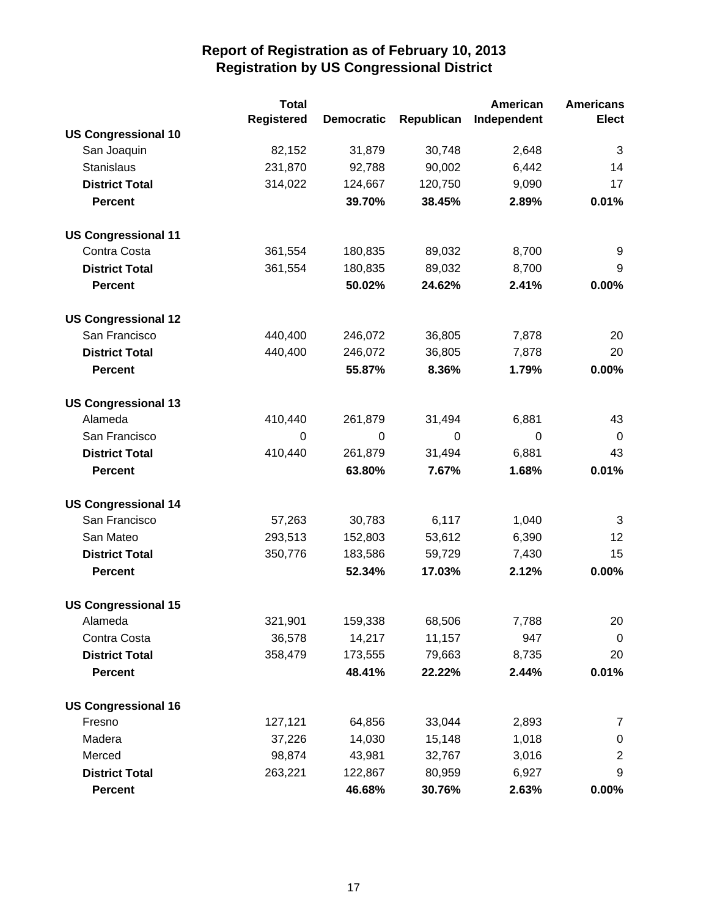|                            | <b>Total</b>      |                   |             | American    | <b>Americans</b> |
|----------------------------|-------------------|-------------------|-------------|-------------|------------------|
|                            | <b>Registered</b> | <b>Democratic</b> | Republican  | Independent | <b>Elect</b>     |
| <b>US Congressional 10</b> |                   |                   |             |             |                  |
| San Joaquin                | 82,152            | 31,879            | 30,748      | 2,648       | 3                |
| Stanislaus                 | 231,870           | 92,788            | 90,002      | 6,442       | 14               |
| <b>District Total</b>      | 314,022           | 124,667           | 120,750     | 9,090       | 17               |
| <b>Percent</b>             |                   | 39.70%            | 38.45%      | 2.89%       | 0.01%            |
| <b>US Congressional 11</b> |                   |                   |             |             |                  |
| Contra Costa               | 361,554           | 180,835           | 89,032      | 8,700       | 9                |
| <b>District Total</b>      | 361,554           | 180,835           | 89,032      | 8,700       | 9                |
| <b>Percent</b>             |                   | 50.02%            | 24.62%      | 2.41%       | 0.00%            |
| <b>US Congressional 12</b> |                   |                   |             |             |                  |
| San Francisco              | 440,400           | 246,072           | 36,805      | 7,878       | 20               |
| <b>District Total</b>      | 440,400           | 246,072           | 36,805      | 7,878       | 20               |
| <b>Percent</b>             |                   | 55.87%            | 8.36%       | 1.79%       | 0.00%            |
| <b>US Congressional 13</b> |                   |                   |             |             |                  |
| Alameda                    | 410,440           | 261,879           | 31,494      | 6,881       | 43               |
| San Francisco              | $\Omega$          | $\mathbf 0$       | $\mathbf 0$ | 0           | 0                |
| <b>District Total</b>      | 410,440           | 261,879           | 31,494      | 6,881       | 43               |
| <b>Percent</b>             |                   | 63.80%            | 7.67%       | 1.68%       | 0.01%            |
| <b>US Congressional 14</b> |                   |                   |             |             |                  |
| San Francisco              | 57,263            | 30,783            | 6,117       | 1,040       | 3                |
| San Mateo                  | 293,513           | 152,803           | 53,612      | 6,390       | 12               |
| <b>District Total</b>      | 350,776           | 183,586           | 59,729      | 7,430       | 15               |
| <b>Percent</b>             |                   | 52.34%            | 17.03%      | 2.12%       | 0.00%            |
| <b>US Congressional 15</b> |                   |                   |             |             |                  |
| Alameda                    | 321,901           | 159,338           | 68,506      | 7,788       | 20               |
| Contra Costa               | 36,578            | 14,217            | 11,157      | 947         | $\mathbf 0$      |
| <b>District Total</b>      | 358,479           | 173,555           | 79,663      | 8,735       | 20               |
| <b>Percent</b>             |                   | 48.41%            | 22.22%      | 2.44%       | 0.01%            |
| <b>US Congressional 16</b> |                   |                   |             |             |                  |
| Fresno                     | 127,121           | 64,856            | 33,044      | 2,893       | 7                |
| Madera                     | 37,226            | 14,030            | 15,148      | 1,018       | $\mathbf 0$      |
| Merced                     | 98,874            | 43,981            | 32,767      | 3,016       | $\overline{2}$   |
| <b>District Total</b>      | 263,221           | 122,867           | 80,959      | 6,927       | 9                |
| <b>Percent</b>             |                   | 46.68%            | 30.76%      | 2.63%       | 0.00%            |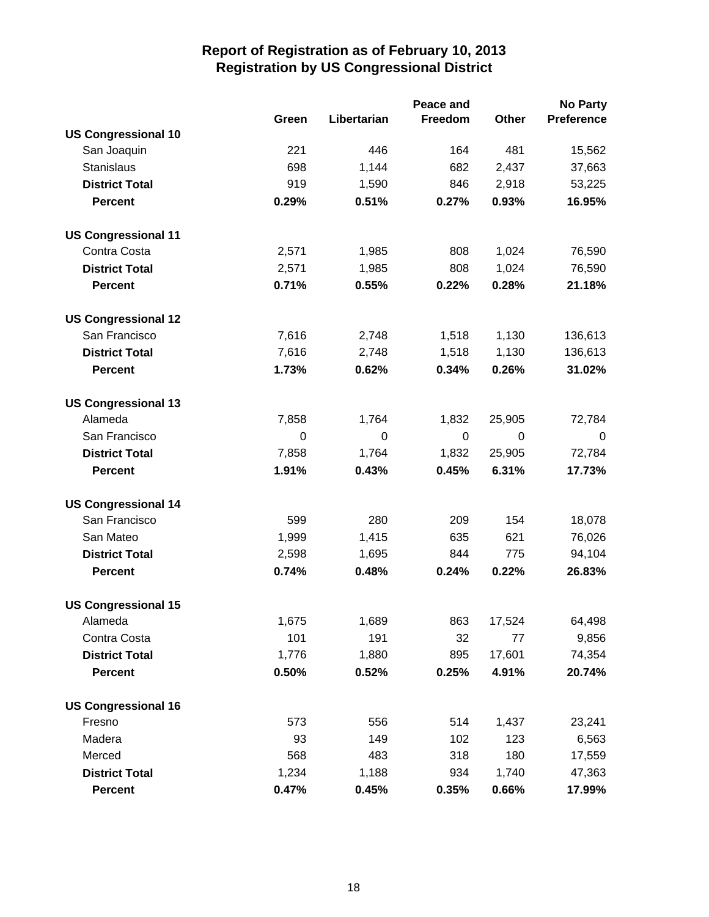|                            | Peace and   |             |                |        | No Party          |  |
|----------------------------|-------------|-------------|----------------|--------|-------------------|--|
|                            | Green       | Libertarian | <b>Freedom</b> | Other  | <b>Preference</b> |  |
| <b>US Congressional 10</b> |             |             |                |        |                   |  |
| San Joaquin                | 221         | 446         | 164            | 481    | 15,562            |  |
| Stanislaus                 | 698         | 1,144       | 682            | 2,437  | 37,663            |  |
| <b>District Total</b>      | 919         | 1,590       | 846            | 2,918  | 53,225            |  |
| <b>Percent</b>             | 0.29%       | 0.51%       | 0.27%          | 0.93%  | 16.95%            |  |
| <b>US Congressional 11</b> |             |             |                |        |                   |  |
| Contra Costa               | 2,571       | 1,985       | 808            | 1,024  | 76,590            |  |
| <b>District Total</b>      | 2,571       | 1,985       | 808            | 1,024  | 76,590            |  |
| <b>Percent</b>             | 0.71%       | 0.55%       | 0.22%          | 0.28%  | 21.18%            |  |
| <b>US Congressional 12</b> |             |             |                |        |                   |  |
| San Francisco              | 7,616       | 2,748       | 1,518          | 1,130  | 136,613           |  |
| <b>District Total</b>      | 7,616       | 2,748       | 1,518          | 1,130  | 136,613           |  |
| <b>Percent</b>             | 1.73%       | 0.62%       | 0.34%          | 0.26%  | 31.02%            |  |
| <b>US Congressional 13</b> |             |             |                |        |                   |  |
| Alameda                    | 7,858       | 1,764       | 1,832          | 25,905 | 72,784            |  |
| San Francisco              | $\mathbf 0$ | 0           | 0              | 0      | 0                 |  |
| <b>District Total</b>      | 7,858       | 1,764       | 1,832          | 25,905 | 72,784            |  |
| <b>Percent</b>             | 1.91%       | 0.43%       | 0.45%          | 6.31%  | 17.73%            |  |
| <b>US Congressional 14</b> |             |             |                |        |                   |  |
| San Francisco              | 599         | 280         | 209            | 154    | 18,078            |  |
| San Mateo                  | 1,999       | 1,415       | 635            | 621    | 76,026            |  |
| <b>District Total</b>      | 2,598       | 1,695       | 844            | 775    | 94,104            |  |
| <b>Percent</b>             | 0.74%       | 0.48%       | 0.24%          | 0.22%  | 26.83%            |  |
| <b>US Congressional 15</b> |             |             |                |        |                   |  |
| Alameda                    | 1,675       | 1,689       | 863            | 17,524 | 64,498            |  |
| Contra Costa               | 101         | 191         | 32             | 77     | 9,856             |  |
| <b>District Total</b>      | 1,776       | 1,880       | 895            | 17,601 | 74,354            |  |
| <b>Percent</b>             | 0.50%       | 0.52%       | 0.25%          | 4.91%  | 20.74%            |  |
| <b>US Congressional 16</b> |             |             |                |        |                   |  |
| Fresno                     | 573         | 556         | 514            | 1,437  | 23,241            |  |
| Madera                     | 93          | 149         | 102            | 123    | 6,563             |  |
| Merced                     | 568         | 483         | 318            | 180    | 17,559            |  |
| <b>District Total</b>      | 1,234       | 1,188       | 934            | 1,740  | 47,363            |  |
| <b>Percent</b>             | 0.47%       | 0.45%       | 0.35%          | 0.66%  | 17.99%            |  |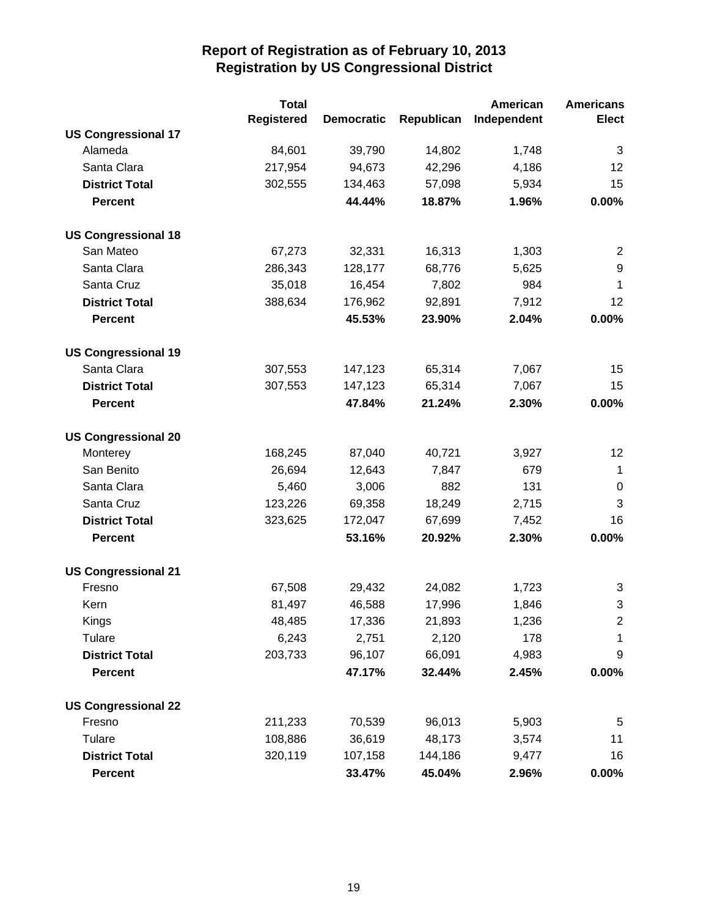|                            | <b>Total</b> |                   |            | American    | <b>Americans</b> |
|----------------------------|--------------|-------------------|------------|-------------|------------------|
|                            | Registered   | <b>Democratic</b> | Republican | Independent | <b>Elect</b>     |
| <b>US Congressional 17</b> |              |                   |            |             |                  |
| Alameda                    | 84,601       | 39,790            | 14,802     | 1,748       | 3                |
| Santa Clara                | 217,954      | 94,673            | 42,296     | 4,186       | 12               |
| <b>District Total</b>      | 302,555      | 134,463           | 57,098     | 5,934       | 15               |
| <b>Percent</b>             |              | 44.44%            | 18.87%     | 1.96%       | 0.00%            |
| <b>US Congressional 18</b> |              |                   |            |             |                  |
| San Mateo                  | 67,273       | 32,331            | 16,313     | 1,303       | 2                |
| Santa Clara                | 286,343      | 128,177           | 68,776     | 5,625       | 9                |
| Santa Cruz                 | 35,018       | 16,454            | 7,802      | 984         | 1                |
| <b>District Total</b>      | 388,634      | 176,962           | 92,891     | 7,912       | 12               |
| <b>Percent</b>             |              | 45.53%            | 23.90%     | 2.04%       | 0.00%            |
| <b>US Congressional 19</b> |              |                   |            |             |                  |
| Santa Clara                | 307,553      | 147,123           | 65,314     | 7,067       | 15               |
| <b>District Total</b>      | 307,553      | 147,123           | 65,314     | 7,067       | 15               |
| <b>Percent</b>             |              | 47.84%            | 21.24%     | 2.30%       | 0.00%            |
| <b>US Congressional 20</b> |              |                   |            |             |                  |
| Monterey                   | 168,245      | 87,040            | 40,721     | 3,927       | 12               |
| San Benito                 | 26,694       | 12,643            | 7,847      | 679         | $\mathbf{1}$     |
| Santa Clara                | 5,460        | 3,006             | 882        | 131         | $\mathbf 0$      |
| Santa Cruz                 | 123,226      | 69,358            | 18,249     | 2,715       | 3                |
| <b>District Total</b>      | 323,625      | 172,047           | 67,699     | 7,452       | 16               |
| <b>Percent</b>             |              | 53.16%            | 20.92%     | 2.30%       | 0.00%            |
| <b>US Congressional 21</b> |              |                   |            |             |                  |
| Fresno                     | 67,508       | 29,432            | 24,082     | 1,723       | 3                |
| Kern                       | 81,497       | 46,588            | 17,996     | 1,846       | 3                |
| Kings                      | 48,485       | 17,336            | 21,893     | 1,236       | $\overline{2}$   |
| Tulare                     | 6,243        | 2,751             | 2,120      | 178         | 1                |
| <b>District Total</b>      | 203,733      | 96,107            | 66,091     | 4,983       | 9                |
| <b>Percent</b>             |              | 47.17%            | 32.44%     | 2.45%       | 0.00%            |
| <b>US Congressional 22</b> |              |                   |            |             |                  |
| Fresno                     | 211,233      | 70,539            | 96,013     | 5,903       | 5                |
| Tulare                     | 108,886      | 36,619            | 48,173     | 3,574       | 11               |
| <b>District Total</b>      | 320,119      | 107,158           | 144,186    | 9,477       | 16               |
| <b>Percent</b>             |              | 33.47%            | 45.04%     | 2.96%       | 0.00%            |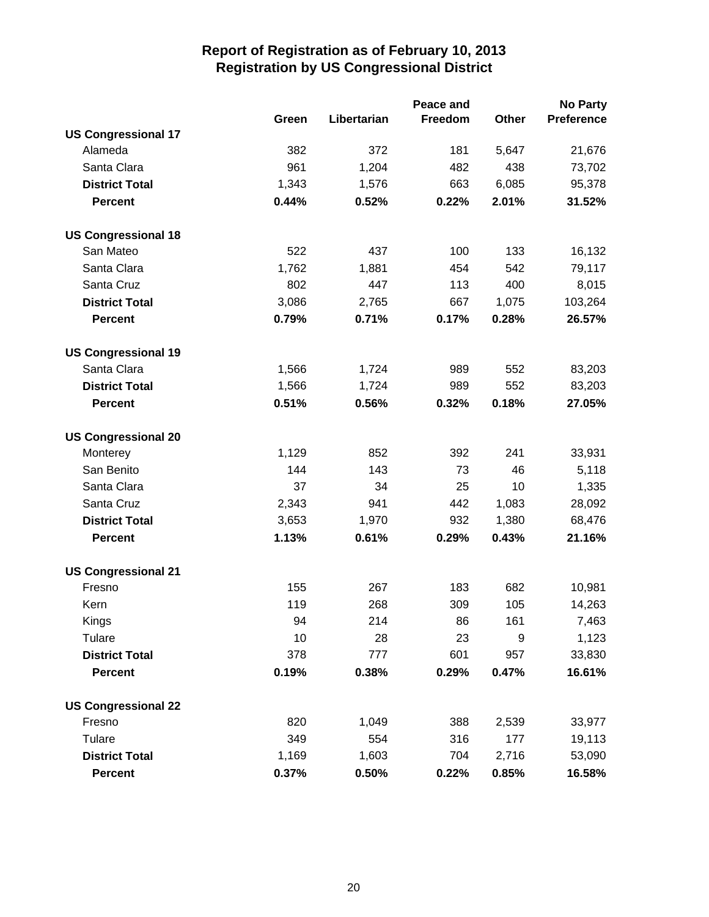|                            |       |             | Peace and |       | <b>No Party</b>   |
|----------------------------|-------|-------------|-----------|-------|-------------------|
|                            | Green | Libertarian | Freedom   | Other | <b>Preference</b> |
| <b>US Congressional 17</b> |       |             |           |       |                   |
| Alameda                    | 382   | 372         | 181       | 5,647 | 21,676            |
| Santa Clara                | 961   | 1,204       | 482       | 438   | 73,702            |
| <b>District Total</b>      | 1,343 | 1,576       | 663       | 6,085 | 95,378            |
| <b>Percent</b>             | 0.44% | 0.52%       | 0.22%     | 2.01% | 31.52%            |
| <b>US Congressional 18</b> |       |             |           |       |                   |
| San Mateo                  | 522   | 437         | 100       | 133   | 16,132            |
| Santa Clara                | 1,762 | 1,881       | 454       | 542   | 79,117            |
| Santa Cruz                 | 802   | 447         | 113       | 400   | 8,015             |
| <b>District Total</b>      | 3,086 | 2,765       | 667       | 1,075 | 103,264           |
| <b>Percent</b>             | 0.79% | 0.71%       | 0.17%     | 0.28% | 26.57%            |
| <b>US Congressional 19</b> |       |             |           |       |                   |
| Santa Clara                | 1,566 | 1,724       | 989       | 552   | 83,203            |
| <b>District Total</b>      | 1,566 | 1,724       | 989       | 552   | 83,203            |
| <b>Percent</b>             | 0.51% | 0.56%       | 0.32%     | 0.18% | 27.05%            |
| <b>US Congressional 20</b> |       |             |           |       |                   |
| Monterey                   | 1,129 | 852         | 392       | 241   | 33,931            |
| San Benito                 | 144   | 143         | 73        | 46    | 5,118             |
| Santa Clara                | 37    | 34          | 25        | 10    | 1,335             |
| Santa Cruz                 | 2,343 | 941         | 442       | 1,083 | 28,092            |
| <b>District Total</b>      | 3,653 | 1,970       | 932       | 1,380 | 68,476            |
| <b>Percent</b>             | 1.13% | 0.61%       | 0.29%     | 0.43% | 21.16%            |
| <b>US Congressional 21</b> |       |             |           |       |                   |
| Fresno                     | 155   | 267         | 183       | 682   | 10,981            |
| Kern                       | 119   | 268         | 309       | 105   | 14,263            |
| Kings                      | 94    | 214         | 86        | 161   | 7,463             |
| Tulare                     | 10    | 28          | 23        | 9     | 1,123             |
| <b>District Total</b>      | 378   | 777         | 601       | 957   | 33,830            |
| <b>Percent</b>             | 0.19% | 0.38%       | 0.29%     | 0.47% | 16.61%            |
| <b>US Congressional 22</b> |       |             |           |       |                   |
| Fresno                     | 820   | 1,049       | 388       | 2,539 | 33,977            |
| Tulare                     | 349   | 554         | 316       | 177   | 19,113            |
| <b>District Total</b>      | 1,169 | 1,603       | 704       | 2,716 | 53,090            |
| <b>Percent</b>             | 0.37% | 0.50%       | 0.22%     | 0.85% | 16.58%            |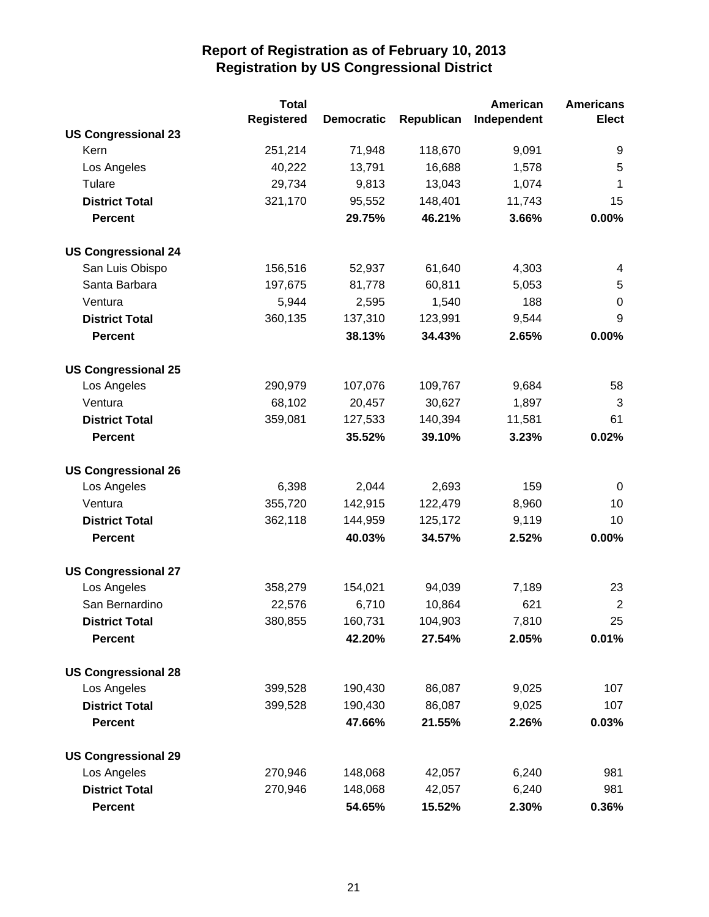|                            | <b>Total</b>      |                   |            | American    | <b>Americans</b> |
|----------------------------|-------------------|-------------------|------------|-------------|------------------|
|                            | <b>Registered</b> | <b>Democratic</b> | Republican | Independent | <b>Elect</b>     |
| <b>US Congressional 23</b> |                   |                   |            |             |                  |
| Kern                       | 251,214           | 71,948            | 118,670    | 9,091       | 9                |
| Los Angeles                | 40,222            | 13,791            | 16,688     | 1,578       | 5                |
| Tulare                     | 29,734            | 9,813             | 13,043     | 1,074       | 1                |
| <b>District Total</b>      | 321,170           | 95,552            | 148,401    | 11,743      | 15               |
| <b>Percent</b>             |                   | 29.75%            | 46.21%     | 3.66%       | 0.00%            |
| <b>US Congressional 24</b> |                   |                   |            |             |                  |
| San Luis Obispo            | 156,516           | 52,937            | 61,640     | 4,303       | 4                |
| Santa Barbara              | 197,675           | 81,778            | 60,811     | 5,053       | 5                |
| Ventura                    | 5,944             | 2,595             | 1,540      | 188         | $\boldsymbol{0}$ |
| <b>District Total</b>      | 360,135           | 137,310           | 123,991    | 9,544       | 9                |
| <b>Percent</b>             |                   | 38.13%            | 34.43%     | 2.65%       | 0.00%            |
| <b>US Congressional 25</b> |                   |                   |            |             |                  |
| Los Angeles                | 290,979           | 107,076           | 109,767    | 9,684       | 58               |
| Ventura                    | 68,102            | 20,457            | 30,627     | 1,897       | 3                |
| <b>District Total</b>      | 359,081           | 127,533           | 140,394    | 11,581      | 61               |
| <b>Percent</b>             |                   | 35.52%            | 39.10%     | 3.23%       | 0.02%            |
| <b>US Congressional 26</b> |                   |                   |            |             |                  |
| Los Angeles                | 6,398             | 2,044             | 2,693      | 159         | 0                |
| Ventura                    | 355,720           | 142,915           | 122,479    | 8,960       | 10               |
| <b>District Total</b>      | 362,118           | 144,959           | 125,172    | 9,119       | 10               |
| <b>Percent</b>             |                   | 40.03%            | 34.57%     | 2.52%       | 0.00%            |
| <b>US Congressional 27</b> |                   |                   |            |             |                  |
| Los Angeles                | 358,279           | 154,021           | 94,039     | 7,189       | 23               |
| San Bernardino             | 22,576            | 6,710             | 10,864     | 621         | $\overline{2}$   |
| <b>District Total</b>      | 380,855           | 160,731           | 104,903    | 7,810       | 25               |
| <b>Percent</b>             |                   | 42.20%            | 27.54%     | 2.05%       | 0.01%            |
| <b>US Congressional 28</b> |                   |                   |            |             |                  |
| Los Angeles                | 399,528           | 190,430           | 86,087     | 9,025       | 107              |
| <b>District Total</b>      | 399,528           | 190,430           | 86,087     | 9,025       | 107              |
| <b>Percent</b>             |                   | 47.66%            | 21.55%     | 2.26%       | 0.03%            |
| <b>US Congressional 29</b> |                   |                   |            |             |                  |
| Los Angeles                | 270,946           | 148,068           | 42,057     | 6,240       | 981              |
| <b>District Total</b>      | 270,946           | 148,068           | 42,057     | 6,240       | 981              |
| <b>Percent</b>             |                   | 54.65%            | 15.52%     | 2.30%       | 0.36%            |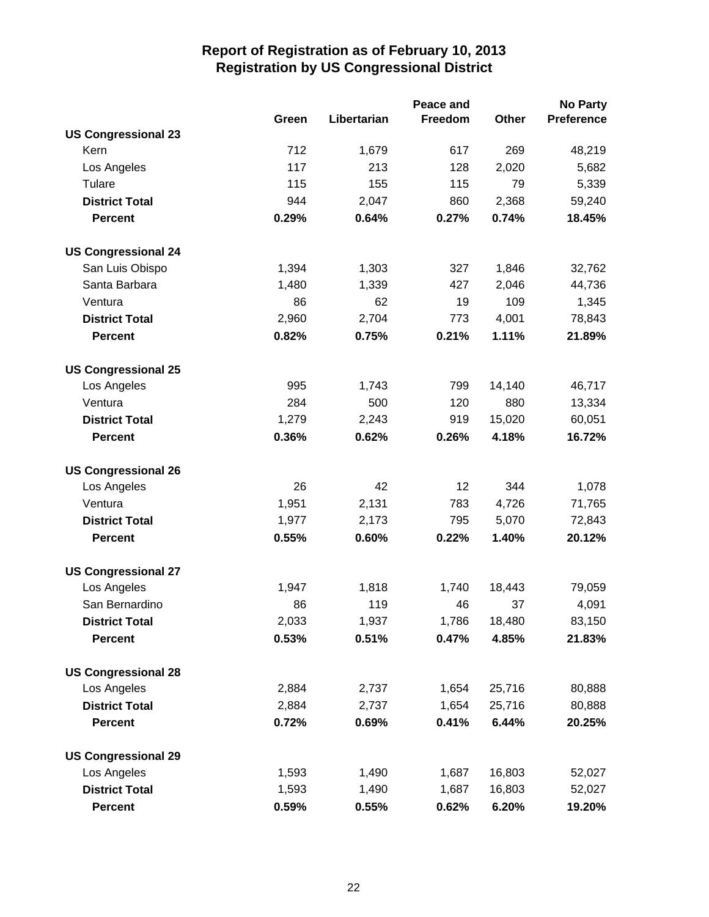|                            |       |             | Peace and      |              | <b>No Party</b>   |
|----------------------------|-------|-------------|----------------|--------------|-------------------|
|                            | Green | Libertarian | <b>Freedom</b> | <b>Other</b> | <b>Preference</b> |
| <b>US Congressional 23</b> |       |             |                |              |                   |
| Kern                       | 712   | 1,679       | 617            | 269          | 48,219            |
| Los Angeles                | 117   | 213         | 128            | 2,020        | 5,682             |
| Tulare                     | 115   | 155         | 115            | 79           | 5,339             |
| <b>District Total</b>      | 944   | 2,047       | 860            | 2,368        | 59,240            |
| <b>Percent</b>             | 0.29% | 0.64%       | 0.27%          | 0.74%        | 18.45%            |
| <b>US Congressional 24</b> |       |             |                |              |                   |
| San Luis Obispo            | 1,394 | 1,303       | 327            | 1,846        | 32,762            |
| Santa Barbara              | 1,480 | 1,339       | 427            | 2,046        | 44,736            |
| Ventura                    | 86    | 62          | 19             | 109          | 1,345             |
| <b>District Total</b>      | 2,960 | 2,704       | 773            | 4,001        | 78,843            |
| <b>Percent</b>             | 0.82% | 0.75%       | 0.21%          | 1.11%        | 21.89%            |
| <b>US Congressional 25</b> |       |             |                |              |                   |
| Los Angeles                | 995   | 1,743       | 799            | 14,140       | 46,717            |
| Ventura                    | 284   | 500         | 120            | 880          | 13,334            |
| <b>District Total</b>      | 1,279 | 2,243       | 919            | 15,020       | 60,051            |
| <b>Percent</b>             | 0.36% | 0.62%       | 0.26%          | 4.18%        | 16.72%            |
| <b>US Congressional 26</b> |       |             |                |              |                   |
| Los Angeles                | 26    | 42          | 12             | 344          | 1,078             |
| Ventura                    | 1,951 | 2,131       | 783            | 4,726        | 71,765            |
| <b>District Total</b>      | 1,977 | 2,173       | 795            | 5,070        | 72,843            |
| <b>Percent</b>             | 0.55% | 0.60%       | 0.22%          | 1.40%        | 20.12%            |
| <b>US Congressional 27</b> |       |             |                |              |                   |
| Los Angeles                | 1,947 | 1,818       | 1,740          | 18,443       | 79,059            |
| San Bernardino             | 86    | 119         | 46             | 37           | 4,091             |
| <b>District Total</b>      | 2,033 | 1,937       | 1,786          | 18,480       | 83,150            |
| <b>Percent</b>             | 0.53% | 0.51%       | 0.47%          | 4.85%        | 21.83%            |
| <b>US Congressional 28</b> |       |             |                |              |                   |
| Los Angeles                | 2,884 | 2,737       | 1,654          | 25,716       | 80,888            |
| <b>District Total</b>      | 2,884 | 2,737       | 1,654          | 25,716       | 80,888            |
| <b>Percent</b>             | 0.72% | 0.69%       | 0.41%          | 6.44%        | 20.25%            |
| <b>US Congressional 29</b> |       |             |                |              |                   |
| Los Angeles                | 1,593 | 1,490       | 1,687          | 16,803       | 52,027            |
| <b>District Total</b>      | 1,593 | 1,490       | 1,687          | 16,803       | 52,027            |
| <b>Percent</b>             | 0.59% | 0.55%       | 0.62%          | 6.20%        | 19.20%            |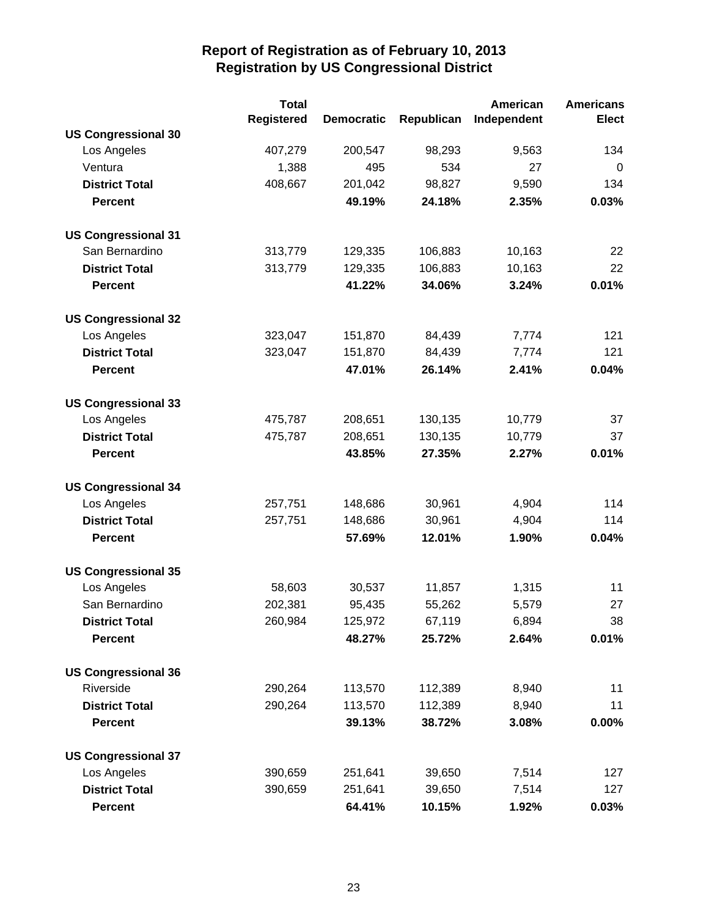|                            | <b>Total</b>      |                   |            | American    | <b>Americans</b> |
|----------------------------|-------------------|-------------------|------------|-------------|------------------|
|                            | <b>Registered</b> | <b>Democratic</b> | Republican | Independent | <b>Elect</b>     |
| <b>US Congressional 30</b> |                   |                   |            |             |                  |
| Los Angeles                | 407,279           | 200,547           | 98,293     | 9,563       | 134              |
| Ventura                    | 1,388             | 495               | 534        | 27          | 0                |
| <b>District Total</b>      | 408,667           | 201,042           | 98,827     | 9,590       | 134              |
| <b>Percent</b>             |                   | 49.19%            | 24.18%     | 2.35%       | 0.03%            |
| <b>US Congressional 31</b> |                   |                   |            |             |                  |
| San Bernardino             | 313,779           | 129,335           | 106,883    | 10,163      | 22               |
| <b>District Total</b>      | 313,779           | 129,335           | 106,883    | 10,163      | 22               |
| <b>Percent</b>             |                   | 41.22%            | 34.06%     | 3.24%       | 0.01%            |
| <b>US Congressional 32</b> |                   |                   |            |             |                  |
| Los Angeles                | 323,047           | 151,870           | 84,439     | 7,774       | 121              |
| <b>District Total</b>      | 323,047           | 151,870           | 84,439     | 7,774       | 121              |
| <b>Percent</b>             |                   | 47.01%            | 26.14%     | 2.41%       | 0.04%            |
| <b>US Congressional 33</b> |                   |                   |            |             |                  |
| Los Angeles                | 475,787           | 208,651           | 130,135    | 10,779      | 37               |
| <b>District Total</b>      | 475,787           | 208,651           | 130,135    | 10,779      | 37               |
| <b>Percent</b>             |                   | 43.85%            | 27.35%     | 2.27%       | 0.01%            |
| <b>US Congressional 34</b> |                   |                   |            |             |                  |
| Los Angeles                | 257,751           | 148,686           | 30,961     | 4,904       | 114              |
| <b>District Total</b>      | 257,751           | 148,686           | 30,961     | 4,904       | 114              |
| <b>Percent</b>             |                   | 57.69%            | 12.01%     | 1.90%       | 0.04%            |
| <b>US Congressional 35</b> |                   |                   |            |             |                  |
| Los Angeles                | 58,603            | 30,537            | 11,857     | 1,315       | 11               |
| San Bernardino             | 202,381           | 95,435            | 55,262     | 5,579       | 27               |
| <b>District Total</b>      | 260,984           | 125,972           | 67,119     | 6,894       | 38               |
| <b>Percent</b>             |                   | 48.27%            | 25.72%     | 2.64%       | 0.01%            |
| <b>US Congressional 36</b> |                   |                   |            |             |                  |
| Riverside                  | 290,264           | 113,570           | 112,389    | 8,940       | 11               |
| <b>District Total</b>      | 290,264           | 113,570           | 112,389    | 8,940       | 11               |
| <b>Percent</b>             |                   | 39.13%            | 38.72%     | 3.08%       | 0.00%            |
| <b>US Congressional 37</b> |                   |                   |            |             |                  |
| Los Angeles                | 390,659           | 251,641           | 39,650     | 7,514       | 127              |
| <b>District Total</b>      | 390,659           | 251,641           | 39,650     | 7,514       | 127              |
| <b>Percent</b>             |                   | 64.41%            | 10.15%     | 1.92%       | 0.03%            |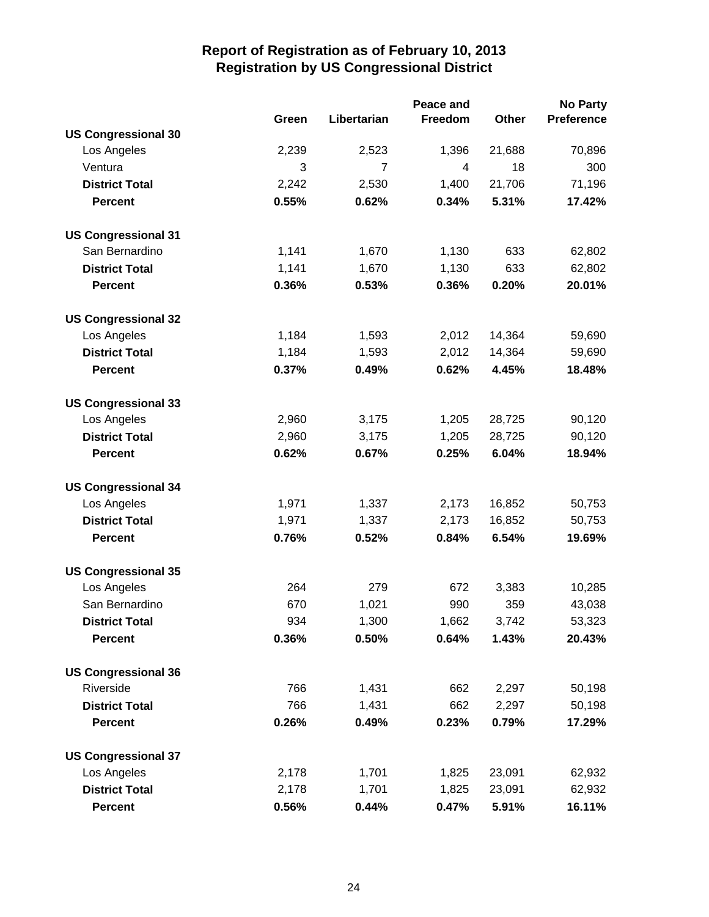|                            |       |                | Peace and |        | <b>No Party</b>   |
|----------------------------|-------|----------------|-----------|--------|-------------------|
|                            | Green | Libertarian    | Freedom   | Other  | <b>Preference</b> |
| <b>US Congressional 30</b> |       |                |           |        |                   |
| Los Angeles                | 2,239 | 2,523          | 1,396     | 21,688 | 70,896            |
| Ventura                    | 3     | $\overline{7}$ | 4         | 18     | 300               |
| <b>District Total</b>      | 2,242 | 2,530          | 1,400     | 21,706 | 71,196            |
| <b>Percent</b>             | 0.55% | 0.62%          | 0.34%     | 5.31%  | 17.42%            |
| <b>US Congressional 31</b> |       |                |           |        |                   |
| San Bernardino             | 1,141 | 1,670          | 1,130     | 633    | 62,802            |
| <b>District Total</b>      | 1,141 | 1,670          | 1,130     | 633    | 62,802            |
| <b>Percent</b>             | 0.36% | 0.53%          | 0.36%     | 0.20%  | 20.01%            |
| <b>US Congressional 32</b> |       |                |           |        |                   |
| Los Angeles                | 1,184 | 1,593          | 2,012     | 14,364 | 59,690            |
| <b>District Total</b>      | 1,184 | 1,593          | 2,012     | 14,364 | 59,690            |
| <b>Percent</b>             | 0.37% | 0.49%          | 0.62%     | 4.45%  | 18.48%            |
| <b>US Congressional 33</b> |       |                |           |        |                   |
| Los Angeles                | 2,960 | 3,175          | 1,205     | 28,725 | 90,120            |
| <b>District Total</b>      | 2,960 | 3,175          | 1,205     | 28,725 | 90,120            |
| <b>Percent</b>             | 0.62% | 0.67%          | 0.25%     | 6.04%  | 18.94%            |
| <b>US Congressional 34</b> |       |                |           |        |                   |
| Los Angeles                | 1,971 | 1,337          | 2,173     | 16,852 | 50,753            |
| <b>District Total</b>      | 1,971 | 1,337          | 2,173     | 16,852 | 50,753            |
| <b>Percent</b>             | 0.76% | 0.52%          | 0.84%     | 6.54%  | 19.69%            |
| <b>US Congressional 35</b> |       |                |           |        |                   |
| Los Angeles                | 264   | 279            | 672       | 3,383  | 10,285            |
| San Bernardino             | 670   | 1,021          | 990       | 359    | 43,038            |
| <b>District Total</b>      | 934   | 1,300          | 1,662     | 3,742  | 53,323            |
| <b>Percent</b>             | 0.36% | 0.50%          | 0.64%     | 1.43%  | 20.43%            |
| <b>US Congressional 36</b> |       |                |           |        |                   |
| Riverside                  | 766   | 1,431          | 662       | 2,297  | 50,198            |
| <b>District Total</b>      | 766   | 1,431          | 662       | 2,297  | 50,198            |
| <b>Percent</b>             | 0.26% | 0.49%          | 0.23%     | 0.79%  | 17.29%            |
| <b>US Congressional 37</b> |       |                |           |        |                   |
| Los Angeles                | 2,178 | 1,701          | 1,825     | 23,091 | 62,932            |
| <b>District Total</b>      | 2,178 | 1,701          | 1,825     | 23,091 | 62,932            |
| Percent                    | 0.56% | 0.44%          | 0.47%     | 5.91%  | 16.11%            |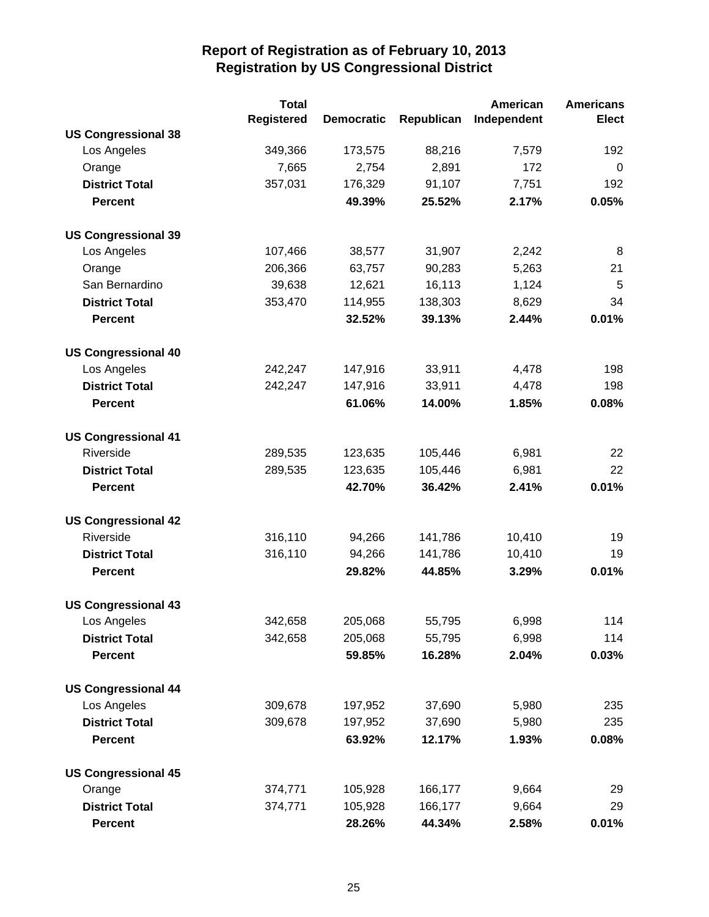|                            | <b>Total</b>      |                   |            | <b>American</b> | <b>Americans</b> |
|----------------------------|-------------------|-------------------|------------|-----------------|------------------|
|                            | <b>Registered</b> | <b>Democratic</b> | Republican | Independent     | <b>Elect</b>     |
| <b>US Congressional 38</b> |                   |                   |            |                 |                  |
| Los Angeles                | 349,366           | 173,575           | 88,216     | 7,579           | 192              |
| Orange                     | 7,665             | 2,754             | 2,891      | 172             | 0                |
| <b>District Total</b>      | 357,031           | 176,329           | 91,107     | 7,751           | 192              |
| <b>Percent</b>             |                   | 49.39%            | 25.52%     | 2.17%           | 0.05%            |
| <b>US Congressional 39</b> |                   |                   |            |                 |                  |
| Los Angeles                | 107,466           | 38,577            | 31,907     | 2,242           | 8                |
| Orange                     | 206,366           | 63,757            | 90,283     | 5,263           | 21               |
| San Bernardino             | 39,638            | 12,621            | 16,113     | 1,124           | 5                |
| <b>District Total</b>      | 353,470           | 114,955           | 138,303    | 8,629           | 34               |
| <b>Percent</b>             |                   | 32.52%            | 39.13%     | 2.44%           | 0.01%            |
| <b>US Congressional 40</b> |                   |                   |            |                 |                  |
| Los Angeles                | 242,247           | 147,916           | 33,911     | 4,478           | 198              |
| <b>District Total</b>      | 242,247           | 147,916           | 33,911     | 4,478           | 198              |
| <b>Percent</b>             |                   | 61.06%            | 14.00%     | 1.85%           | 0.08%            |
| <b>US Congressional 41</b> |                   |                   |            |                 |                  |
| Riverside                  | 289,535           | 123,635           | 105,446    | 6,981           | 22               |
| <b>District Total</b>      | 289,535           | 123,635           | 105,446    | 6,981           | 22               |
| <b>Percent</b>             |                   | 42.70%            | 36.42%     | 2.41%           | 0.01%            |
| <b>US Congressional 42</b> |                   |                   |            |                 |                  |
| Riverside                  | 316,110           | 94,266            | 141,786    | 10,410          | 19               |
| <b>District Total</b>      | 316,110           | 94,266            | 141,786    | 10,410          | 19               |
| <b>Percent</b>             |                   | 29.82%            | 44.85%     | 3.29%           | 0.01%            |
| <b>US Congressional 43</b> |                   |                   |            |                 |                  |
| Los Angeles                | 342,658           | 205,068           | 55,795     | 6,998           | 114              |
| <b>District Total</b>      | 342,658           | 205,068           | 55,795     | 6,998           | 114              |
| <b>Percent</b>             |                   | 59.85%            | 16.28%     | 2.04%           | 0.03%            |
| <b>US Congressional 44</b> |                   |                   |            |                 |                  |
| Los Angeles                | 309,678           | 197,952           | 37,690     | 5,980           | 235              |
| <b>District Total</b>      | 309,678           | 197,952           | 37,690     | 5,980           | 235              |
| <b>Percent</b>             |                   | 63.92%            | 12.17%     | 1.93%           | 0.08%            |
| <b>US Congressional 45</b> |                   |                   |            |                 |                  |
| Orange                     | 374,771           | 105,928           | 166,177    | 9,664           | 29               |
| <b>District Total</b>      | 374,771           | 105,928           | 166,177    | 9,664           | 29               |
| <b>Percent</b>             |                   | 28.26%            | 44.34%     | 2.58%           | 0.01%            |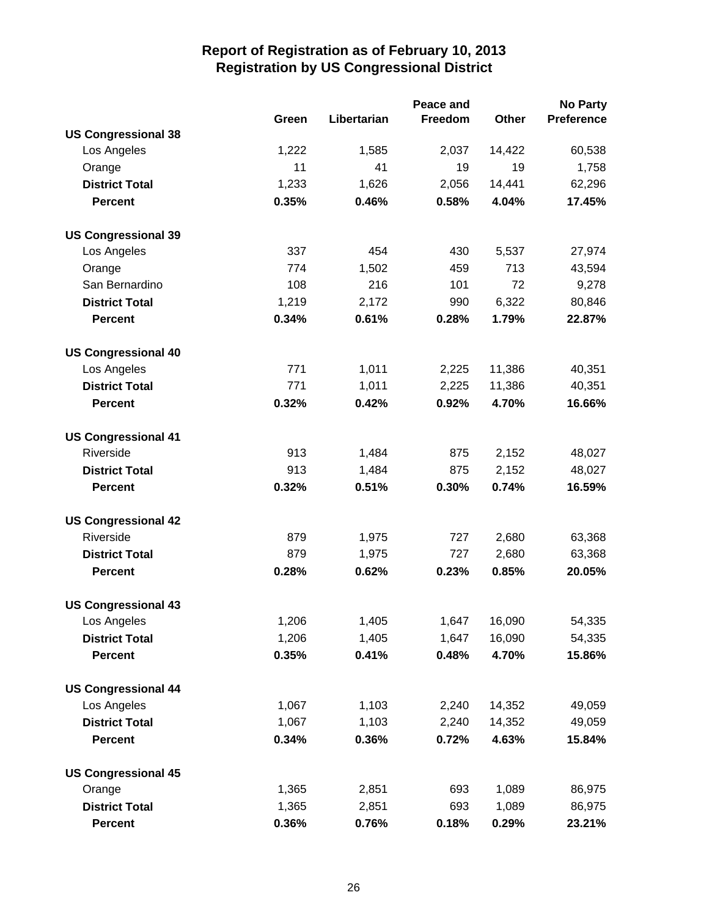|                            |       | <b>No Party</b> |         |        |                   |
|----------------------------|-------|-----------------|---------|--------|-------------------|
|                            | Green | Libertarian     | Freedom | Other  | <b>Preference</b> |
| <b>US Congressional 38</b> |       |                 |         |        |                   |
| Los Angeles                | 1,222 | 1,585           | 2,037   | 14,422 | 60,538            |
| Orange                     | 11    | 41              | 19      | 19     | 1,758             |
| <b>District Total</b>      | 1,233 | 1,626           | 2,056   | 14,441 | 62,296            |
| <b>Percent</b>             | 0.35% | 0.46%           | 0.58%   | 4.04%  | 17.45%            |
| <b>US Congressional 39</b> |       |                 |         |        |                   |
| Los Angeles                | 337   | 454             | 430     | 5,537  | 27,974            |
| Orange                     | 774   | 1,502           | 459     | 713    | 43,594            |
| San Bernardino             | 108   | 216             | 101     | 72     | 9,278             |
| <b>District Total</b>      | 1,219 | 2,172           | 990     | 6,322  | 80,846            |
| <b>Percent</b>             | 0.34% | 0.61%           | 0.28%   | 1.79%  | 22.87%            |
| <b>US Congressional 40</b> |       |                 |         |        |                   |
| Los Angeles                | 771   | 1,011           | 2,225   | 11,386 | 40,351            |
| <b>District Total</b>      | 771   | 1,011           | 2,225   | 11,386 | 40,351            |
| <b>Percent</b>             | 0.32% | 0.42%           | 0.92%   | 4.70%  | 16.66%            |
| <b>US Congressional 41</b> |       |                 |         |        |                   |
| Riverside                  | 913   | 1,484           | 875     | 2,152  | 48,027            |
| <b>District Total</b>      | 913   | 1,484           | 875     | 2,152  | 48,027            |
| <b>Percent</b>             | 0.32% | 0.51%           | 0.30%   | 0.74%  | 16.59%            |
| <b>US Congressional 42</b> |       |                 |         |        |                   |
| Riverside                  | 879   | 1,975           | 727     | 2,680  | 63,368            |
| <b>District Total</b>      | 879   | 1,975           | 727     | 2,680  | 63,368            |
| <b>Percent</b>             | 0.28% | 0.62%           | 0.23%   | 0.85%  | 20.05%            |
| <b>US Congressional 43</b> |       |                 |         |        |                   |
| Los Angeles                | 1,206 | 1,405           | 1,647   | 16,090 | 54,335            |
| <b>District Total</b>      | 1,206 | 1,405           | 1,647   | 16,090 | 54,335            |
| <b>Percent</b>             | 0.35% | 0.41%           | 0.48%   | 4.70%  | 15.86%            |
| <b>US Congressional 44</b> |       |                 |         |        |                   |
| Los Angeles                | 1,067 | 1,103           | 2,240   | 14,352 | 49,059            |
| <b>District Total</b>      | 1,067 | 1,103           | 2,240   | 14,352 | 49,059            |
| <b>Percent</b>             | 0.34% | 0.36%           | 0.72%   | 4.63%  | 15.84%            |
| <b>US Congressional 45</b> |       |                 |         |        |                   |
| Orange                     | 1,365 | 2,851           | 693     | 1,089  | 86,975            |
| <b>District Total</b>      | 1,365 | 2,851           | 693     | 1,089  | 86,975            |
| <b>Percent</b>             | 0.36% | 0.76%           | 0.18%   | 0.29%  | 23.21%            |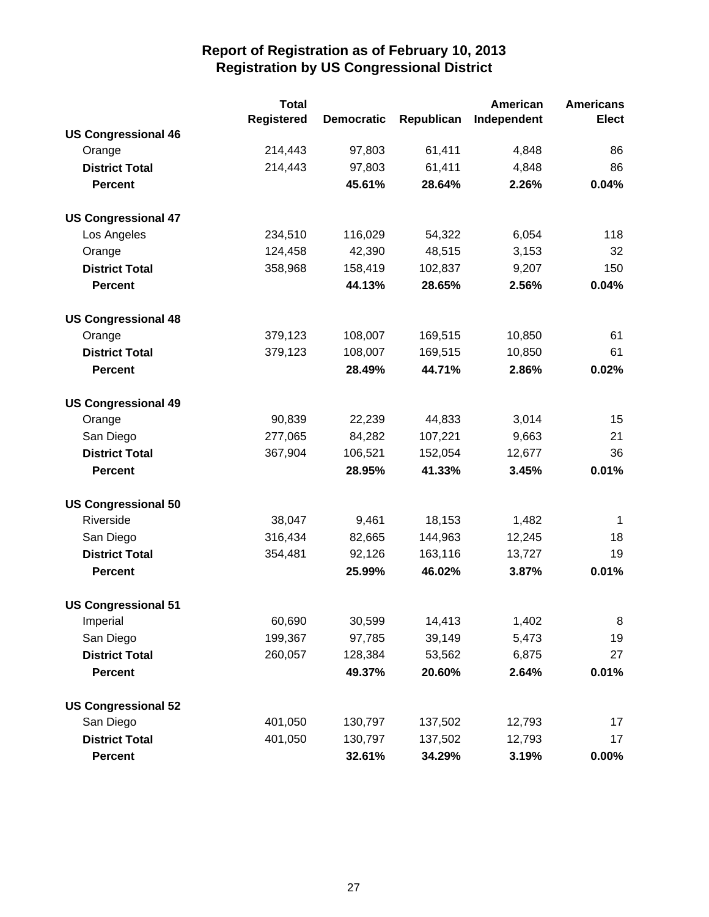|                            | <b>Total</b>      |                   |            | American    | <b>Americans</b> |
|----------------------------|-------------------|-------------------|------------|-------------|------------------|
|                            | <b>Registered</b> | <b>Democratic</b> | Republican | Independent | <b>Elect</b>     |
| <b>US Congressional 46</b> |                   |                   |            |             |                  |
| Orange                     | 214,443           | 97,803            | 61,411     | 4,848       | 86               |
| <b>District Total</b>      | 214,443           | 97,803            | 61,411     | 4,848       | 86               |
| <b>Percent</b>             |                   | 45.61%            | 28.64%     | 2.26%       | 0.04%            |
| <b>US Congressional 47</b> |                   |                   |            |             |                  |
| Los Angeles                | 234,510           | 116,029           | 54,322     | 6,054       | 118              |
| Orange                     | 124,458           | 42,390            | 48,515     | 3,153       | 32               |
| <b>District Total</b>      | 358,968           | 158,419           | 102,837    | 9,207       | 150              |
| <b>Percent</b>             |                   | 44.13%            | 28.65%     | 2.56%       | 0.04%            |
| <b>US Congressional 48</b> |                   |                   |            |             |                  |
| Orange                     | 379,123           | 108,007           | 169,515    | 10,850      | 61               |
| <b>District Total</b>      | 379,123           | 108,007           | 169,515    | 10,850      | 61               |
| <b>Percent</b>             |                   | 28.49%            | 44.71%     | 2.86%       | 0.02%            |
| <b>US Congressional 49</b> |                   |                   |            |             |                  |
| Orange                     | 90,839            | 22,239            | 44,833     | 3,014       | 15               |
| San Diego                  | 277,065           | 84,282            | 107,221    | 9,663       | 21               |
| <b>District Total</b>      | 367,904           | 106,521           | 152,054    | 12,677      | 36               |
| <b>Percent</b>             |                   | 28.95%            | 41.33%     | 3.45%       | 0.01%            |
| <b>US Congressional 50</b> |                   |                   |            |             |                  |
| Riverside                  | 38,047            | 9,461             | 18,153     | 1,482       | 1                |
| San Diego                  | 316,434           | 82,665            | 144,963    | 12,245      | 18               |
| <b>District Total</b>      | 354,481           | 92,126            | 163,116    | 13,727      | 19               |
| <b>Percent</b>             |                   | 25.99%            | 46.02%     | 3.87%       | 0.01%            |
| <b>US Congressional 51</b> |                   |                   |            |             |                  |
| Imperial                   | 60,690            | 30,599            | 14,413     | 1,402       | 8                |
| San Diego                  | 199,367           | 97,785            | 39,149     | 5,473       | 19               |
| <b>District Total</b>      | 260,057           | 128,384           | 53,562     | 6,875       | 27               |
| <b>Percent</b>             |                   | 49.37%            | 20.60%     | 2.64%       | 0.01%            |
| <b>US Congressional 52</b> |                   |                   |            |             |                  |
| San Diego                  | 401,050           | 130,797           | 137,502    | 12,793      | 17               |
| <b>District Total</b>      | 401,050           | 130,797           | 137,502    | 12,793      | 17               |
| <b>Percent</b>             |                   | 32.61%            | 34.29%     | 3.19%       | 0.00%            |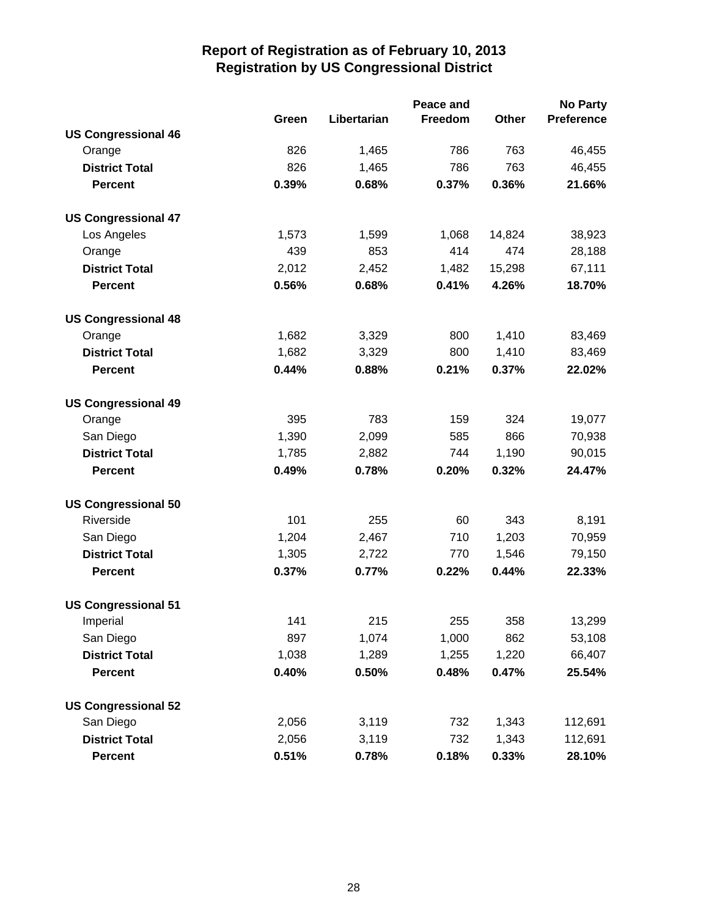|                            |       | <b>No Party</b> |         |        |                   |
|----------------------------|-------|-----------------|---------|--------|-------------------|
|                            | Green | Libertarian     | Freedom | Other  | <b>Preference</b> |
| <b>US Congressional 46</b> |       |                 |         |        |                   |
| Orange                     | 826   | 1,465           | 786     | 763    | 46,455            |
| <b>District Total</b>      | 826   | 1,465           | 786     | 763    | 46,455            |
| <b>Percent</b>             | 0.39% | 0.68%           | 0.37%   | 0.36%  | 21.66%            |
| <b>US Congressional 47</b> |       |                 |         |        |                   |
| Los Angeles                | 1,573 | 1,599           | 1,068   | 14,824 | 38,923            |
| Orange                     | 439   | 853             | 414     | 474    | 28,188            |
| <b>District Total</b>      | 2,012 | 2,452           | 1,482   | 15,298 | 67,111            |
| <b>Percent</b>             | 0.56% | 0.68%           | 0.41%   | 4.26%  | 18.70%            |
| <b>US Congressional 48</b> |       |                 |         |        |                   |
| Orange                     | 1,682 | 3,329           | 800     | 1,410  | 83,469            |
| <b>District Total</b>      | 1,682 | 3,329           | 800     | 1,410  | 83,469            |
| <b>Percent</b>             | 0.44% | 0.88%           | 0.21%   | 0.37%  | 22.02%            |
| <b>US Congressional 49</b> |       |                 |         |        |                   |
| Orange                     | 395   | 783             | 159     | 324    | 19,077            |
| San Diego                  | 1,390 | 2,099           | 585     | 866    | 70,938            |
| <b>District Total</b>      | 1,785 | 2,882           | 744     | 1,190  | 90,015            |
| <b>Percent</b>             | 0.49% | 0.78%           | 0.20%   | 0.32%  | 24.47%            |
| <b>US Congressional 50</b> |       |                 |         |        |                   |
| Riverside                  | 101   | 255             | 60      | 343    | 8,191             |
| San Diego                  | 1,204 | 2,467           | 710     | 1,203  | 70,959            |
| <b>District Total</b>      | 1,305 | 2,722           | 770     | 1,546  | 79,150            |
| <b>Percent</b>             | 0.37% | 0.77%           | 0.22%   | 0.44%  | 22.33%            |
| <b>US Congressional 51</b> |       |                 |         |        |                   |
| Imperial                   | 141   | 215             | 255     | 358    | 13,299            |
| San Diego                  | 897   | 1,074           | 1,000   | 862    | 53,108            |
| <b>District Total</b>      | 1,038 | 1,289           | 1,255   | 1,220  | 66,407            |
| <b>Percent</b>             | 0.40% | 0.50%           | 0.48%   | 0.47%  | 25.54%            |
| <b>US Congressional 52</b> |       |                 |         |        |                   |
| San Diego                  | 2,056 | 3,119           | 732     | 1,343  | 112,691           |
| <b>District Total</b>      | 2,056 | 3,119           | 732     | 1,343  | 112,691           |
| <b>Percent</b>             | 0.51% | 0.78%           | 0.18%   | 0.33%  | 28.10%            |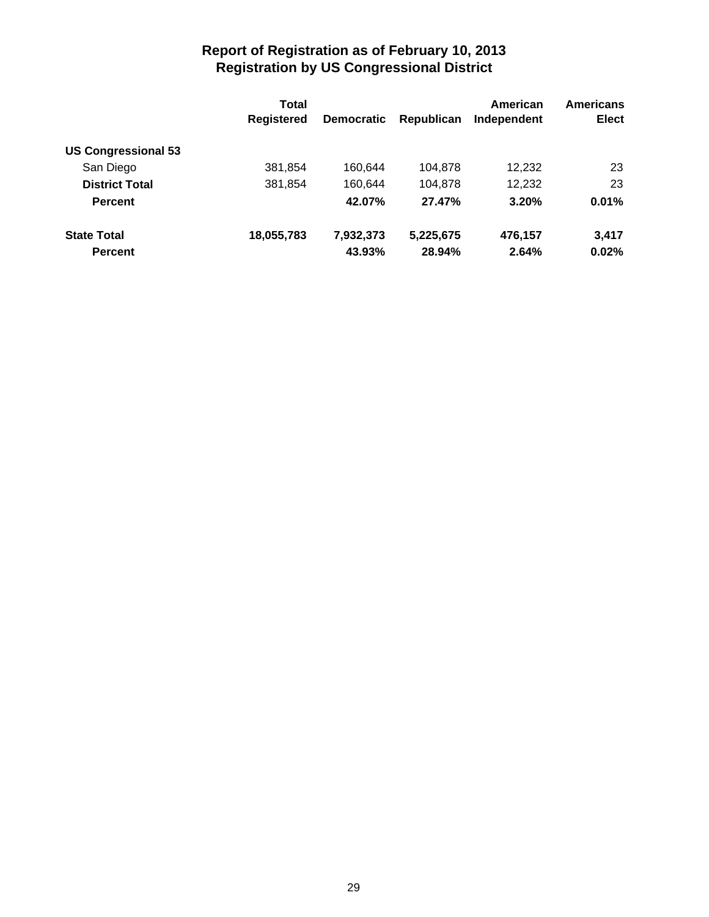|                                         | <b>Total</b>      |                   |            | American    | <b>Americans</b> |
|-----------------------------------------|-------------------|-------------------|------------|-------------|------------------|
|                                         | <b>Registered</b> | <b>Democratic</b> | Republican | Independent | <b>Elect</b>     |
| <b>US Congressional 53</b><br>San Diego | 381,854           | 160.644           | 104,878    | 12,232      | 23               |
|                                         |                   |                   |            |             |                  |
| <b>Percent</b>                          |                   | 42.07%            | 27.47%     | 3.20%       | 0.01%            |
| <b>State Total</b>                      | 18,055,783        | 7,932,373         | 5,225,675  | 476.157     | 3.417            |
| <b>Percent</b>                          |                   | 43.93%            | 28.94%     | 2.64%       | 0.02%            |